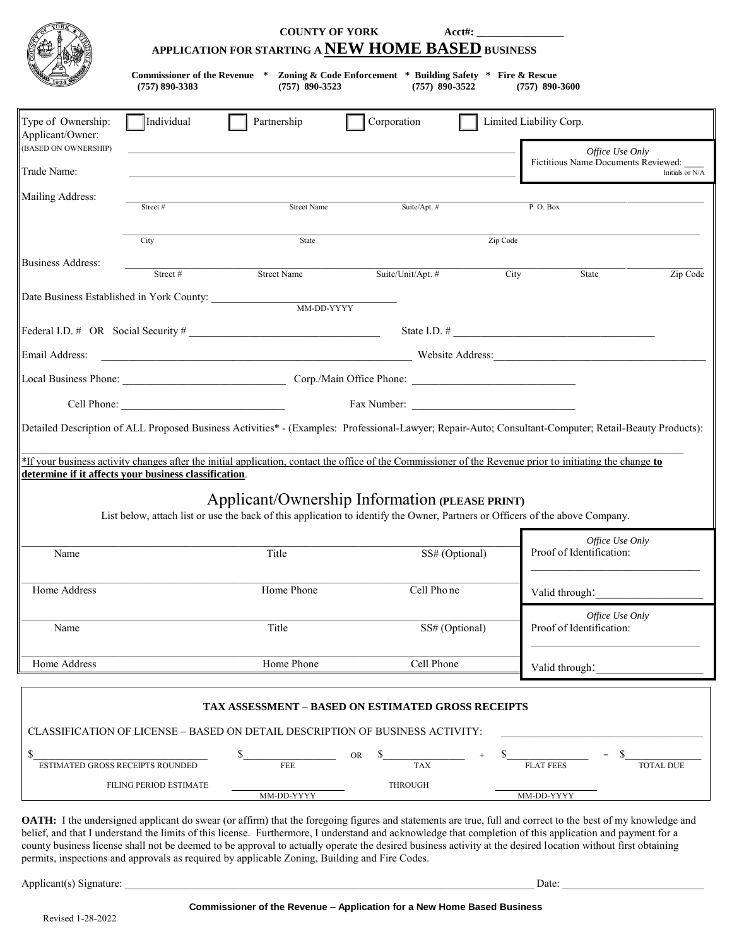|                                        | <b>COUNTY OF YORK</b><br>Acct#:<br>APPLICATION FOR STARTING A NEW HOME BASED BUSINESS |                                                                                                                                                                                                                                                                                                                     |             |                   |          |                          |                                     |                  |
|----------------------------------------|---------------------------------------------------------------------------------------|---------------------------------------------------------------------------------------------------------------------------------------------------------------------------------------------------------------------------------------------------------------------------------------------------------------------|-------------|-------------------|----------|--------------------------|-------------------------------------|------------------|
|                                        | $(757) 890 - 3383$                                                                    | Commissioner of the Revenue * Zoning & Code Enforcement * Building Safety * Fire & Rescue<br>$(757)$ 890-3523                                                                                                                                                                                                       |             | $(757)$ 890-3522  |          | $(757)$ 890-3600         |                                     |                  |
| Type of Ownership:<br>Applicant/Owner: | Individual                                                                            | Partnership                                                                                                                                                                                                                                                                                                         | Corporation |                   |          | Limited Liability Corp.  |                                     |                  |
| (BASED ON OWNERSHIP)                   |                                                                                       |                                                                                                                                                                                                                                                                                                                     |             |                   |          |                          | Office Use Only                     |                  |
| Trade Name:                            |                                                                                       |                                                                                                                                                                                                                                                                                                                     |             |                   |          |                          | Fictitious Name Documents Reviewed: | Initials or N/A  |
| Mailing Address:                       | Street#                                                                               | <b>Street Name</b>                                                                                                                                                                                                                                                                                                  |             | Suite/Apt. #      |          | P.O. Box                 |                                     |                  |
|                                        | City                                                                                  | State                                                                                                                                                                                                                                                                                                               |             |                   | Zip Code |                          |                                     |                  |
| <b>Business Address:</b>               | Street#                                                                               | <b>Street Name</b>                                                                                                                                                                                                                                                                                                  |             | Suite/Unit/Apt. # | City     |                          | State                               | Zip Code         |
|                                        | Date Business Established in York County:                                             | MM-DD-YYYY                                                                                                                                                                                                                                                                                                          |             |                   |          |                          |                                     |                  |
|                                        |                                                                                       | Federal I.D. $\#$ OR Social Security $\#$                                                                                                                                                                                                                                                                           |             |                   |          |                          |                                     |                  |
| Email Address:                         |                                                                                       | Example 2014 and 2015 and 2016 and 2017 and 2018 and 2018 and 2018 and 2019 and 2019 and 2019 and 2019 and 201                                                                                                                                                                                                      |             |                   |          |                          |                                     |                  |
|                                        |                                                                                       |                                                                                                                                                                                                                                                                                                                     |             |                   |          |                          |                                     |                  |
|                                        |                                                                                       |                                                                                                                                                                                                                                                                                                                     |             | Fax Number:       |          |                          |                                     |                  |
|                                        | determine if it affects your business classification.                                 | Detailed Description of ALL Proposed Business Activities* - (Examples: Professional-Lawyer; Repair-Auto; Consultant-Computer; Retail-Beauty Products):<br>*If your business activity changes after the initial application, contact the office of the Commissioner of the Revenue prior to initiating the change to |             |                   |          |                          |                                     |                  |
|                                        |                                                                                       | Applicant/Ownership Information (PLEASE PRINT)<br>List below, attach list or use the back of this application to identify the Owner, Partners or Officers of the above Company.                                                                                                                                     |             |                   |          |                          |                                     |                  |
|                                        |                                                                                       |                                                                                                                                                                                                                                                                                                                     |             |                   |          |                          | Office Use Only                     |                  |
| Name                                   |                                                                                       | Title                                                                                                                                                                                                                                                                                                               |             | SS# (Optional)    |          | Proof of Identification: |                                     |                  |
| Home Address                           |                                                                                       | Home Phone                                                                                                                                                                                                                                                                                                          |             | Cell Phone        |          | Valid through:           |                                     |                  |
| Name                                   |                                                                                       | Title                                                                                                                                                                                                                                                                                                               |             | SS# (Optional)    |          | Proof of Identification: | Office Use Only                     |                  |
| Home Address                           |                                                                                       | Home Phone                                                                                                                                                                                                                                                                                                          |             | Cell Phone        |          | Valid through:           |                                     |                  |
|                                        |                                                                                       | <b>TAX ASSESSMENT - BASED ON ESTIMATED GROSS RECEIPTS</b>                                                                                                                                                                                                                                                           |             |                   |          |                          |                                     |                  |
| \$                                     |                                                                                       | CLASSIFICATION OF LICENSE – BASED ON DETAIL DESCRIPTION OF BUSINESS ACTIVITY:                                                                                                                                                                                                                                       | ${\rm OR}$  |                   |          |                          | \$                                  |                  |
|                                        | ESTIMATED GROSS RECEIPTS ROUNDED                                                      | <b>FEE</b>                                                                                                                                                                                                                                                                                                          |             | TAX               |          | <b>FLAT FEES</b>         |                                     | <b>TOTAL DUE</b> |
|                                        | FILING PERIOD ESTIMATE                                                                | MM-DD-YYYY                                                                                                                                                                                                                                                                                                          |             | <b>THROUGH</b>    |          | MM-DD-YYYY               |                                     |                  |

**OATH:** I the undersigned applicant do swear (or affirm) that the foregoing figures and statements are true, full and correct to the best of my knowledge and belief, and that I understand the limits of this license. Furthermore, I understand and acknowledge that completion of this application and payment for a county business license shall not be deemed to be approval to actually operate the desired business activity at the desired location without first obtaining permits, inspections and approvals as required by applicable Zoning, Building and Fire Codes.

Applicant(s) Signature: \_\_\_\_\_\_\_\_\_\_\_\_\_\_\_\_\_\_\_\_\_\_\_\_\_\_\_\_\_\_\_\_\_\_\_\_\_\_\_\_\_\_\_\_\_\_\_\_\_\_\_\_\_\_\_\_\_\_\_\_\_\_\_\_\_\_\_\_\_\_\_\_\_\_\_ Date: \_\_\_\_\_\_\_\_\_\_\_\_\_\_\_\_\_\_\_\_\_\_\_\_\_\_